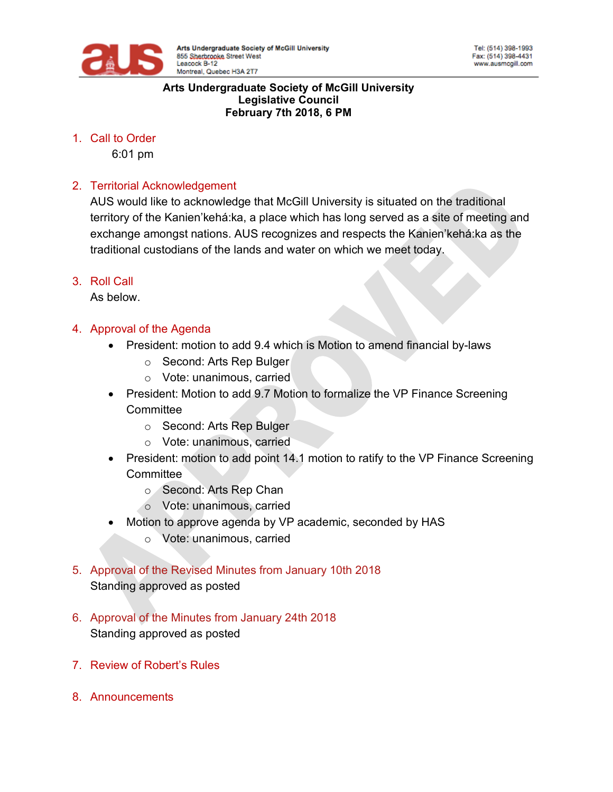

#### **Arts Undergraduate Society of McGill University Legislative Council February 7th 2018, 6 PM**

1. Call to Order

6:01 pm

### 2. Territorial Acknowledgement

AUS would like to acknowledge that McGill University is situated on the traditional territory of the Kanien'kehá:ka, a place which has long served as a site of meeting and exchange amongst nations. AUS recognizes and respects the Kanien'kehá:ka as the traditional custodians of the lands and water on which we meet today.

3. Roll Call

As below.

### 4. Approval of the Agenda

- President: motion to add 9.4 which is Motion to amend financial by-laws
	- o Second: Arts Rep Bulger
	- o Vote: unanimous, carried
- President: Motion to add 9.7 Motion to formalize the VP Finance Screening **Committee** 
	- o Second: Arts Rep Bulger
	- o Vote: unanimous, carried
- President: motion to add point 14.1 motion to ratify to the VP Finance Screening **Committee** 
	- o Second: Arts Rep Chan
	- o Vote: unanimous, carried
- Motion to approve agenda by VP academic, seconded by HAS
	- o Vote: unanimous, carried
- 5. Approval of the Revised Minutes from January 10th 2018 Standing approved as posted
- 6. Approval of the Minutes from January 24th 2018 Standing approved as posted
- 7. Review of Robert's Rules
- 8. Announcements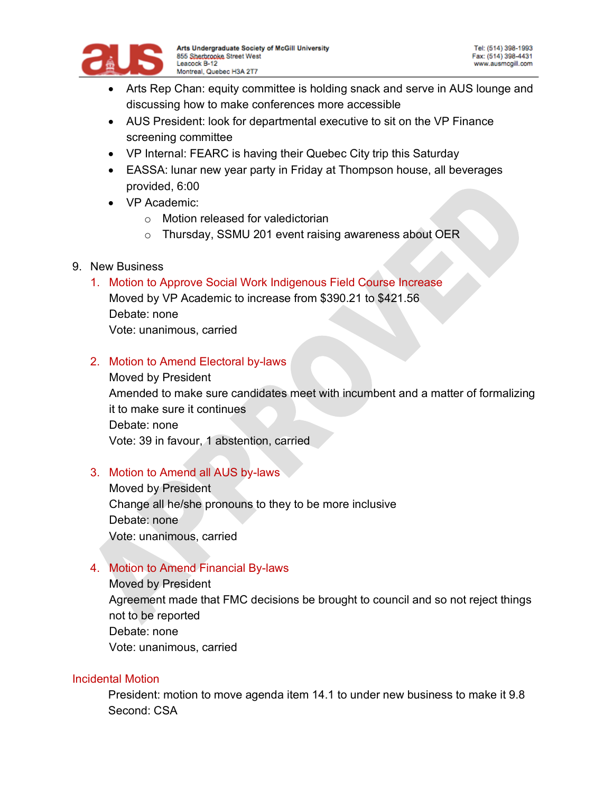

- Arts Rep Chan: equity committee is holding snack and serve in AUS lounge and discussing how to make conferences more accessible
- AUS President: look for departmental executive to sit on the VP Finance screening committee
- VP Internal: FEARC is having their Quebec City trip this Saturday
- EASSA: lunar new year party in Friday at Thompson house, all beverages provided, 6:00
- VP Academic:
	- o Motion released for valedictorian
	- o Thursday, SSMU 201 event raising awareness about OER
- 9. New Business
	- 1. Motion to Approve Social Work Indigenous Field Course Increase

Moved by VP Academic to increase from \$390.21 to \$421.56 Debate: none Vote: unanimous, carried

2. Motion to Amend Electoral by-laws

Moved by President Amended to make sure candidates meet with incumbent and a matter of formalizing it to make sure it continues Debate: none Vote: 39 in favour, 1 abstention, carried

# 3. Motion to Amend all AUS by-laws

Moved by President Change all he/she pronouns to they to be more inclusive Debate: none Vote: unanimous, carried

# 4. Motion to Amend Financial By-laws

Moved by President Agreement made that FMC decisions be brought to council and so not reject things not to be reported Debate: none Vote: unanimous, carried

### Incidental Motion

President: motion to move agenda item 14.1 to under new business to make it 9.8 Second: CSA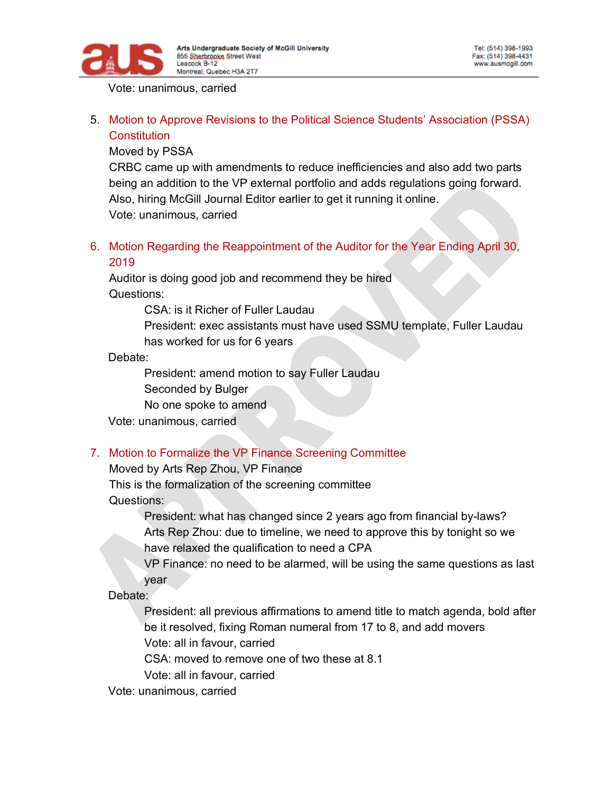

Vote: unanimous, carried

5. Motion to Approve Revisions to the Political Science Students' Association (PSSA) **Constitution** 

Moved by PSSA

CRBC came up with amendments to reduce inefficiencies and also add two parts being an addition to the VP external portfolio and adds regulations going forward. Also, hiring McGill Journal Editor earlier to get it running it online. Vote: unanimous, carried

6. Motion Regarding the Reappointment of the Auditor for the Year Ending April 30, 2019

Auditor is doing good job and recommend they be hired Questions:

CSA: is it Richer of Fuller Laudau

President: exec assistants must have used SSMU template, Fuller Laudau has worked for us for 6 years

Debate:

President: amend motion to say Fuller Laudau

Seconded by Bulger

No one spoke to amend

Vote: unanimous, carried

### 7. Motion to Formalize the VP Finance Screening Committee

Moved by Arts Rep Zhou, VP Finance

This is the formalization of the screening committee Questions:

> President: what has changed since 2 years ago from financial by-laws? Arts Rep Zhou: due to timeline, we need to approve this by tonight so we have relaxed the qualification to need a CPA

VP Finance: no need to be alarmed, will be using the same questions as last year

Debate:

President: all previous affirmations to amend title to match agenda, bold after be it resolved, fixing Roman numeral from 17 to 8, and add movers Vote: all in favour, carried

CSA: moved to remove one of two these at 8.1

Vote: all in favour, carried

Vote: unanimous, carried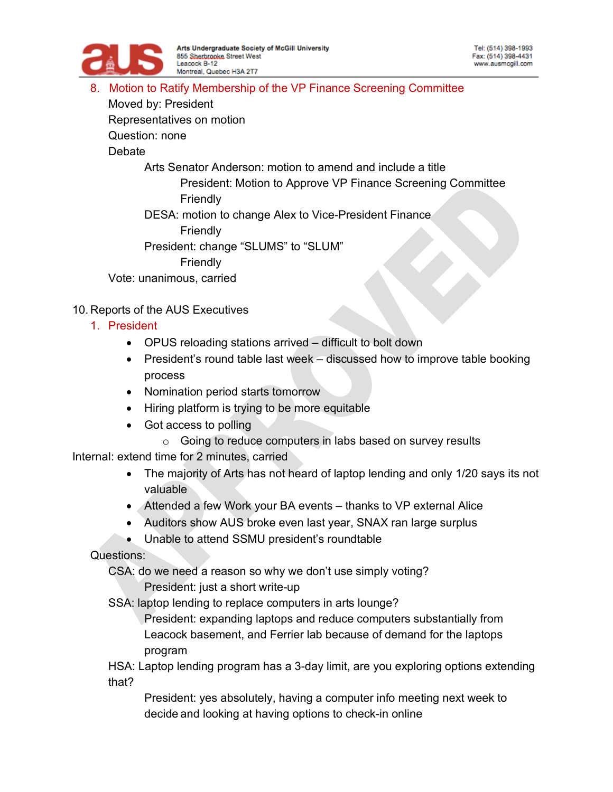

#### 8. Motion to Ratify Membership of the VP Finance Screening Committee

Moved by: President

Representatives on motion

Question: none

**Debate** 

Arts Senator Anderson: motion to amend and include a title

President: Motion to Approve VP Finance Screening Committee Friendly

DESA: motion to change Alex to Vice-President Finance

Friendly

President: change "SLUMS" to "SLUM"

Friendly

Vote: unanimous, carried

# 10. Reports of the AUS Executives

- 1. President
	- OPUS reloading stations arrived difficult to bolt down
	- President's round table last week discussed how to improve table booking process
	- Nomination period starts tomorrow
	- Hiring platform is trying to be more equitable
	- Got access to polling
		- o Going to reduce computers in labs based on survey results

Internal: extend time for 2 minutes, carried

- The majority of Arts has not heard of laptop lending and only 1/20 says its not valuable
- Attended a few Work your BA events thanks to VP external Alice
- Auditors show AUS broke even last year, SNAX ran large surplus
- Unable to attend SSMU president's roundtable

Questions:

CSA: do we need a reason so why we don't use simply voting?

President: just a short write-up

SSA: laptop lending to replace computers in arts lounge?

President: expanding laptops and reduce computers substantially from Leacock basement, and Ferrier lab because of demand for the laptops program

HSA: Laptop lending program has a 3-day limit, are you exploring options extending that?

President: yes absolutely, having a computer info meeting next week to decide and looking at having options to check-in online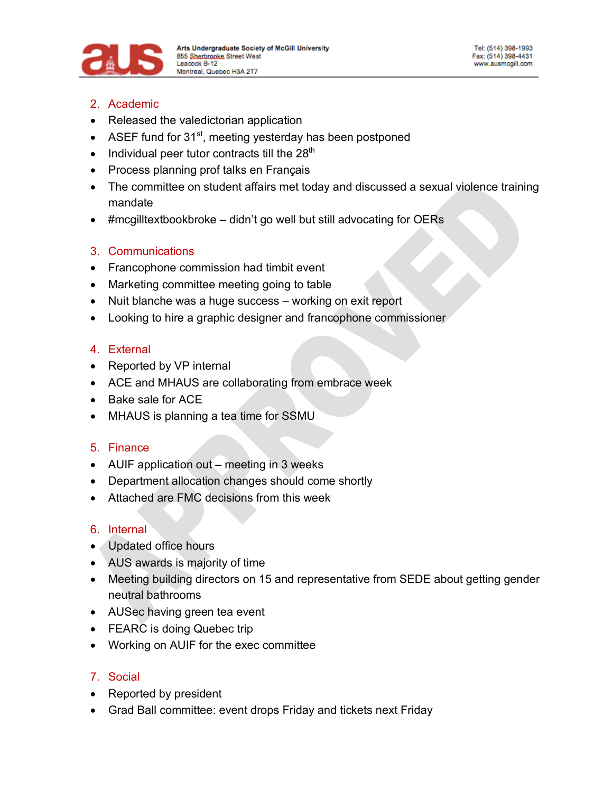

- 2. Academic
- Released the valedictorian application
- ASEF fund for  $31<sup>st</sup>$ , meeting yesterday has been postponed
- $\bullet$  Individual peer tutor contracts till the 28<sup>th</sup>
- Process planning prof talks en Français
- The committee on student affairs met today and discussed a sexual violence training mandate
- #mcgilltextbookbroke didn't go well but still advocating for OERs

### 3. Communications

- Francophone commission had timbit event
- Marketing committee meeting going to table
- Nuit blanche was a huge success working on exit report
- Looking to hire a graphic designer and francophone commissioner

### 4. External

- Reported by VP internal
- ACE and MHAUS are collaborating from embrace week
- Bake sale for ACE
- MHAUS is planning a tea time for SSMU

### 5. Finance

- AUIF application out meeting in 3 weeks
- Department allocation changes should come shortly
- Attached are FMC decisions from this week

# 6. Internal

- Updated office hours
- AUS awards is majority of time
- Meeting building directors on 15 and representative from SEDE about getting gender neutral bathrooms
- AUSec having green tea event
- FEARC is doing Quebec trip
- Working on AUIF for the exec committee

# 7. Social

- Reported by president
- Grad Ball committee: event drops Friday and tickets next Friday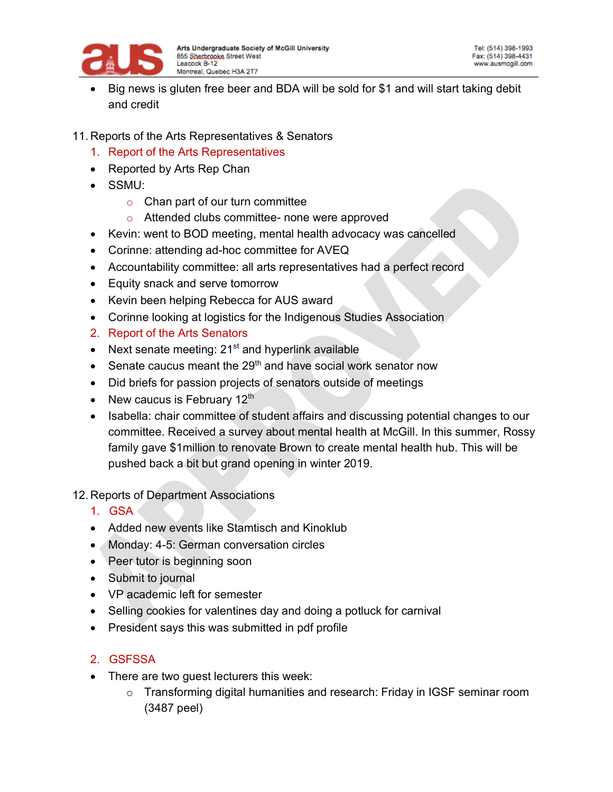

- Big news is gluten free beer and BDA will be sold for \$1 and will start taking debit and credit
- 11. Reports of the Arts Representatives & Senators
	- 1. Report of the Arts Representatives
	- Reported by Arts Rep Chan
	- SSMU:
		- $\circ$  Chan part of our turn committee
		- o Attended clubs committee- none were approved
	- Kevin: went to BOD meeting, mental health advocacy was cancelled
	- Corinne: attending ad-hoc committee for AVEQ
	- Accountability committee: all arts representatives had a perfect record
	- Equity snack and serve tomorrow
	- Kevin been helping Rebecca for AUS award
	- Corinne looking at logistics for the Indigenous Studies Association
	- 2. Report of the Arts Senators
	- Next senate meeting:  $21<sup>st</sup>$  and hyperlink available
	- Senate caucus meant the 29<sup>th</sup> and have social work senator now
	- Did briefs for passion projects of senators outside of meetings
	- New caucus is February  $12<sup>th</sup>$
	- Isabella: chair committee of student affairs and discussing potential changes to our committee. Received a survey about mental health at McGill. In this summer, Rossy family gave \$1million to renovate Brown to create mental health hub. This will be pushed back a bit but grand opening in winter 2019.

#### 12. Reports of Department Associations

- 1. GSA
- Added new events like Stamtisch and Kinoklub
- Monday: 4-5: German conversation circles
- Peer tutor is beginning soon
- Submit to journal
- VP academic left for semester
- Selling cookies for valentines day and doing a potluck for carnival
- President says this was submitted in pdf profile

### 2. GSFSSA

- There are two guest lecturers this week:
	- o Transforming digital humanities and research: Friday in IGSF seminar room (3487 peel)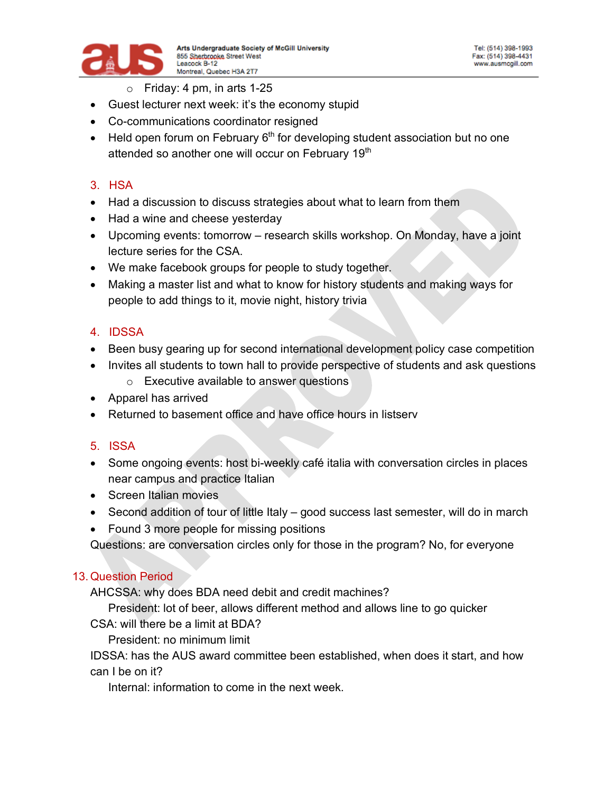

- $\circ$  Friday: 4 pm, in arts 1-25
- Guest lecturer next week: it's the economy stupid
- Co-communications coordinator resigned
- Held open forum on February  $6<sup>th</sup>$  for developing student association but no one attended so another one will occur on February 19<sup>th</sup>

### 3. HSA

- Had a discussion to discuss strategies about what to learn from them
- Had a wine and cheese yesterday
- Upcoming events: tomorrow research skills workshop. On Monday, have a joint lecture series for the CSA.
- We make facebook groups for people to study together.
- Making a master list and what to know for history students and making ways for people to add things to it, movie night, history trivia

### 4. IDSSA

- Been busy gearing up for second international development policy case competition
- Invites all students to town hall to provide perspective of students and ask questions
	- o Executive available to answer questions
- Apparel has arrived
- Returned to basement office and have office hours in listserv

### 5. ISSA

- Some ongoing events: host bi-weekly café italia with conversation circles in places near campus and practice Italian
- Screen Italian movies
- Second addition of tour of little Italy good success last semester, will do in march
- Found 3 more people for missing positions

Questions: are conversation circles only for those in the program? No, for everyone

### 13. Question Period

AHCSSA: why does BDA need debit and credit machines?

President: lot of beer, allows different method and allows line to go quicker

CSA: will there be a limit at BDA?

President: no minimum limit

IDSSA: has the AUS award committee been established, when does it start, and how can I be on it?

Internal: information to come in the next week.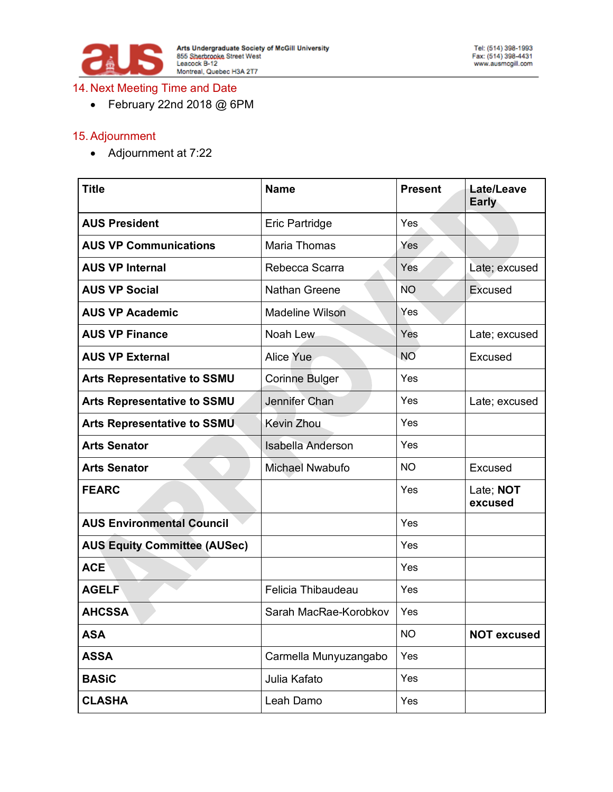

#### 14. Next Meeting Time and Date

• February 22nd 2018 @ 6PM

#### 15.Adjournment

• Adjournment at 7:22

| <b>Title</b>                        | <b>Name</b>              | <b>Present</b> | Late/Leave<br><b>Early</b> |
|-------------------------------------|--------------------------|----------------|----------------------------|
| <b>AUS President</b>                | Eric Partridge           | Yes            |                            |
| <b>AUS VP Communications</b>        | <b>Maria Thomas</b>      | Yes            |                            |
| <b>AUS VP Internal</b>              | Rebecca Scarra           | Yes            | Late; excused              |
| <b>AUS VP Social</b>                | <b>Nathan Greene</b>     | <b>NO</b>      | Excused                    |
| <b>AUS VP Academic</b>              | <b>Madeline Wilson</b>   | Yes            |                            |
| <b>AUS VP Finance</b>               | Noah Lew                 | Yes            | Late; excused              |
| <b>AUS VP External</b>              | Alice Yue                | <b>NO</b>      | Excused                    |
| <b>Arts Representative to SSMU</b>  | <b>Corinne Bulger</b>    | Yes            |                            |
| <b>Arts Representative to SSMU</b>  | Jennifer Chan            | Yes            | Late; excused              |
| <b>Arts Representative to SSMU</b>  | <b>Kevin Zhou</b>        | Yes            |                            |
| <b>Arts Senator</b>                 | <b>Isabella Anderson</b> | Yes            |                            |
| <b>Arts Senator</b>                 | Michael Nwabufo          | <b>NO</b>      | Excused                    |
| <b>FEARC</b>                        |                          | Yes            | Late; NOT<br>excused       |
| <b>AUS Environmental Council</b>    |                          | Yes            |                            |
| <b>AUS Equity Committee (AUSec)</b> |                          | Yes            |                            |
| <b>ACE</b>                          |                          | Yes            |                            |
| <b>AGELF</b>                        | Felicia Thibaudeau       | Yes            |                            |
| <b>AHCSSA</b>                       | Sarah MacRae-Korobkov    | Yes            |                            |
| <b>ASA</b>                          |                          | <b>NO</b>      | <b>NOT excused</b>         |
| <b>ASSA</b>                         | Carmella Munyuzangabo    | Yes            |                            |
| <b>BASiC</b>                        | Julia Kafato             | Yes            |                            |
| <b>CLASHA</b>                       | Leah Damo                | Yes            |                            |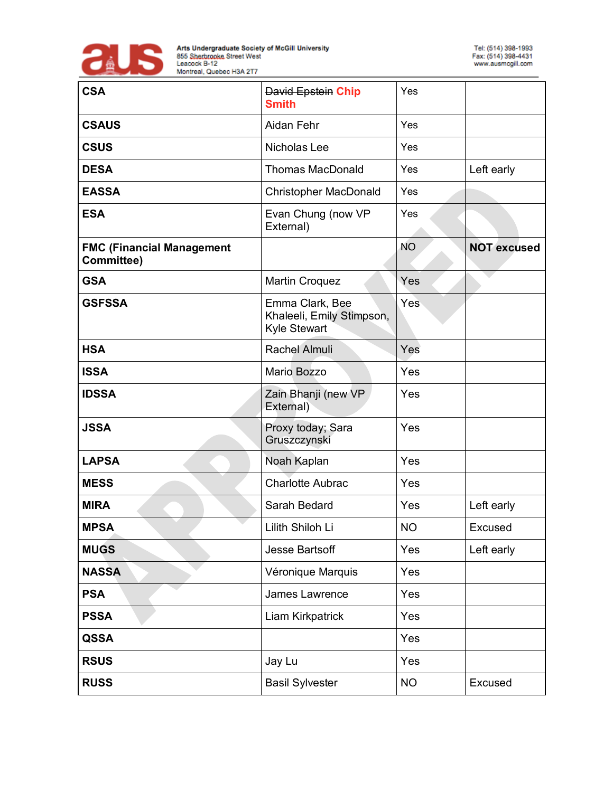

| <b>CSA</b>                                     | <b>David Epstein Chip</b><br><b>Smith</b>                    | Yes       |                    |
|------------------------------------------------|--------------------------------------------------------------|-----------|--------------------|
| <b>CSAUS</b>                                   | Aidan Fehr                                                   | Yes       |                    |
| <b>CSUS</b>                                    | Nicholas Lee                                                 | Yes       |                    |
| <b>DESA</b>                                    | <b>Thomas MacDonald</b>                                      | Yes       | Left early         |
| <b>EASSA</b>                                   | <b>Christopher MacDonald</b>                                 | Yes       |                    |
| <b>ESA</b>                                     | Evan Chung (now VP<br>External)                              | Yes       |                    |
| <b>FMC (Financial Management</b><br>Committee) |                                                              | <b>NO</b> | <b>NOT excused</b> |
| <b>GSA</b>                                     | <b>Martin Croquez</b>                                        | Yes       |                    |
| <b>GSFSSA</b>                                  | Emma Clark, Bee<br>Khaleeli, Emily Stimpson,<br>Kyle Stewart | Yes       |                    |
| <b>HSA</b>                                     | <b>Rachel Almuli</b>                                         | Yes       |                    |
| <b>ISSA</b>                                    | Mario Bozzo                                                  | Yes       |                    |
| <b>IDSSA</b>                                   | Zain Bhanji (new VP<br>External)                             | Yes       |                    |
| <b>JSSA</b>                                    | Proxy today; Sara<br>Gruszczynski                            | Yes       |                    |
| <b>LAPSA</b>                                   | Noah Kaplan                                                  | Yes       |                    |
| <b>MESS</b>                                    | <b>Charlotte Aubrac</b>                                      | Yes       |                    |
| <b>MIRA</b>                                    | Sarah Bedard                                                 | Yes       | Left early         |
| <b>MPSA</b>                                    | Lilith Shiloh Li                                             | <b>NO</b> | Excused            |
| <b>MUGS</b>                                    | <b>Jesse Bartsoff</b>                                        | Yes       | Left early         |
| <b>NASSA</b>                                   | Véronique Marquis                                            | Yes       |                    |
| <b>PSA</b>                                     | James Lawrence                                               | Yes       |                    |
| <b>PSSA</b>                                    | Liam Kirkpatrick                                             | Yes       |                    |
| <b>QSSA</b>                                    |                                                              | Yes       |                    |
| <b>RSUS</b>                                    | Jay Lu                                                       | Yes       |                    |
| <b>RUSS</b>                                    | <b>Basil Sylvester</b>                                       | <b>NO</b> | Excused            |